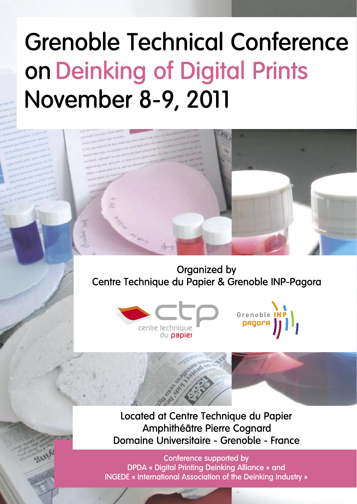# **Grenoble Technical Conference** on Deinking of Digital Prints **November 8-9, 2011**



Organized by Centre Technique du Papier & Grenoble INP-Pagora



Located at Centre Technique du Papier Amphithéâtre Pierre Cognard Domaine Universitaire - Grenoble - France

Conference supported by DPDA « Digital Printing Deinking Alliance » and **INGEDE** « International Association of the Deinking Industry »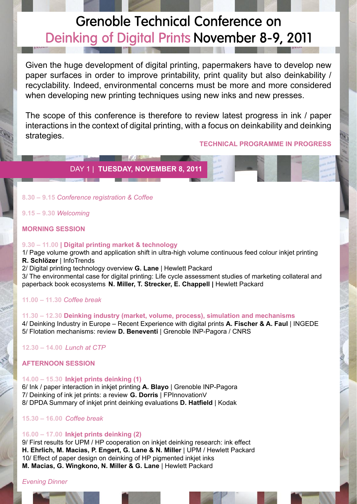# **Grenoble Technical Conference on** Deinking of Digital Prints November 8-9, 2011

Given the huge development of digital printing, papermakers have to develop new paper surfaces in order to improve printability, print quality but also deinkability / recyclability. Indeed, environmental concerns must be more and more considered when developing new printing techniques using new inks and new presses.

The scope of this conference is therefore to review latest progress in ink / paper interactions in the context of digital printing, with a focus on deinkability and deinking strategies.

**TECHNICAL PROGRAMME IN PROGRESS**

# **TUESDAY, NOVEMBER 8, 2011**

**8.30 – 9.15** *Conference registration & Coffee*

**9.15 – 9.30** *Welcoming*

# **MORNING SESSION**

#### **9.30 – 11.00 | Digital printing market & technology**

1/ Page volume growth and application shift in ultra-high volume continuous feed colour inkjet printing **R. Schlözer** | InfoTrends

2/ Digital printing technology overview **G. Lane** | Hewlett Packard

3/ The environmental case for digital printing: Life cycle assessment studies of marketing collateral and paperback book ecosystems **N. Miller, T. Strecker, E. Chappell |** Hewlett Packard

# **11.00 – 11.30** *Coffee break*

# **11.30 – 12.30 Deinking industry (market, volume, process), simulation and mechanisms**

4/ Deinking Industry in Europe – Recent Experience with digital prints **A. Fischer & A. Faul** | INGEDE 5/ Flotation mechanisms: review **D. Beneventi** | Grenoble INP-Pagora / CNRS

# **12.30 – 14.00** *Lunch at CTP*

# **AFTERNOON SESSION**

# **14.00 – 15.30 Inkjet prints deinking (1)**

6/ Ink / paper interaction in inkjet printing **A. Blayo** | Grenoble INP-Pagora 7/ Deinking of ink jet prints: a review **G. Dorris** | FPInnovation. 8/ DPDA Summary of inkjet print deinking evaluations **D. Hatfield** | Kodak

# **15.30 – 16.00** *Coffee break*

# **16.00 – 17.00 Inkjet prints deinking (2)**

9/ First results for UPM / HP cooperation on inkjet deinking research: ink effect **H. Ehrlich, M. Macias, P. Engert, G. Lane & N. Miller** | UPM / Hewlett Packard 10/ Effect of paper design on deinking of HP pigmented inkjet inks **M. Macias, G. Wingkono, N. Miller & G. Lane** | Hewlett Packard

#### *Evening Dinner*



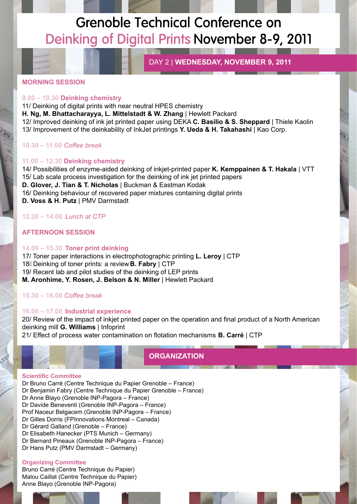# **Grenoble Technical Conference on** Deinking of Digital Prints November 8-9, 2011

**WEDNESDAY, NOVEMBER 9, 2011** 

#### **MORNING SESSION**

#### **9.00 – 10.30 Deinking chemistry**

11/ Deinking of digital prints with near neutral HPES chemistry **H. Ng, M. Bhattacharayya, L. Mittelstadt & W. Zhang** | Hewlett Packard 12/ Improved deinking of ink jet printed paper using DEKA **C. Basilio & S. Sheppard** | Thiele Kaolin 13/ Improvement of the deinkability of InkJet printings **Y. Ueda & H. Takahashi** | Kao Corp.

#### **10.30 – 11.00** *Coffee break*

#### **11.00 – 12.30 Deinking chemistry**

14/ Possibilities of enzyme-aided deinking of inkjet-printed paper **K. Kemppainen & T. Hakala** | VTT 15/ Lab scale process investigation for the deinking of ink jet printed papers **D. Glover, J. Tian & T. Nicholas** | Buckman & Eastman Kodak 16/ Deinking behaviour of recovered paper mixtures containing digital prints **D. Voss & H. Putz** | PMV Darmstadt

#### **12.30 – 14.00** *Lunch at CTP*

# **AFTERNOON SESSION**

#### **14.00 – 15.30 Toner print deinking**

17/ Toner paper interactions in electrophotographic printing **L. Leroy** | CTP 18 Deinking of toner prints: a review **B. Fabry** | CTP 19/ Recent lab and pilot studies of the deinking of LEP prints **M. Aronhime, Y. Rosen, J. Belson & N. Miller** | Hewlett Packard

#### **15.30 – 16.00** *Coffee break*

#### **16.00 – 17.00 Industrial experience**

20/ Review of the impact of inkjet printed paper on the operation and final product of a North American deinking mill **G. Williams** | Infoprint 21/ Effect of process water contamination on flotation mechanisms **B. Carré** | CTP

**ORGANIZATION**

#### **Scientific Committee**

Dr Bruno Carré (Centre Technique du Papier Grenoble – France) Dr Benjamin Fabry (Centre Technique du Papier Grenoble – France) Dr Anne Blayo (Grenoble INP-Pagora – France) Dr Davide Beneventi (Grenoble INP-Pagora – France) Prof Naceur Belgacem (Grenoble INP-Pagora – France) Dr Gilles Dorris (FPInnovations Montreal – Canada) Dr Gérard Galland (Grenoble – France) Dr Elisabeth Hanecker (PTS Munich – Germany) Dr Bernard Pineaux (Grenoble INP-Pagora – France) Dr Hans Putz (PMV Darmstadt – Germany)

#### **Organizing Committee**

Bruno Carré (Centre Technique du Papier) Malou Caillat (Centre Technique du Papier) Anne Blayo (Grenoble INP-Pagora)